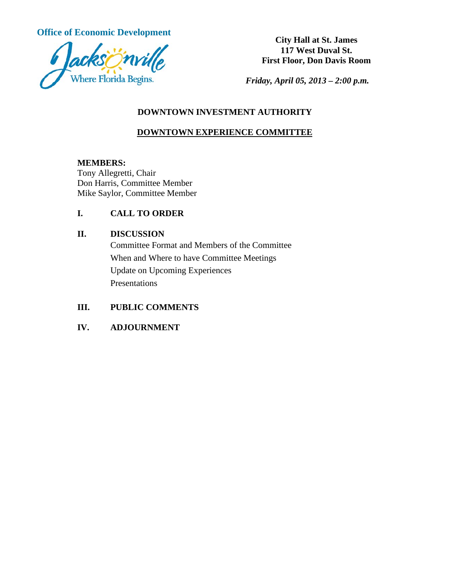**Office of Economic Development City Hall at St. James** 



**117 West Duval St. First Floor, Don Davis Room**

*Friday, April 05, 2013 – 2:00 p.m.*

## **DOWNTOWN INVESTMENT AUTHORITY**

# **DOWNTOWN EXPERIENCE COMMITTEE**

## **MEMBERS:**

Tony Allegretti, Chair Don Harris, Committee Member Mike Saylor, Committee Member

# **I. CALL TO ORDER**

## **II. DISCUSSION**

Committee Format and Members of the Committee When and Where to have Committee Meetings Update on Upcoming Experiences Presentations

# **III. PUBLIC COMMENTS**

# **IV. ADJOURNMENT**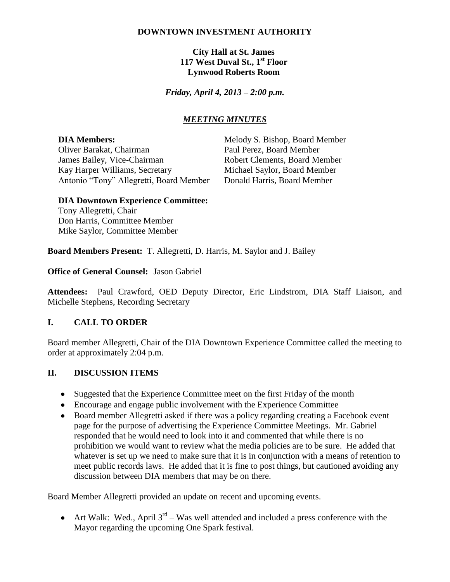## **DOWNTOWN INVESTMENT AUTHORITY**

**City Hall at St. James 117 West Duval St., 1st Floor Lynwood Roberts Room**

*Friday, April 4, 2013 – 2:00 p.m.*

## *MEETING MINUTES*

Oliver Barakat, Chairman Paul Perez, Board Member James Bailey, Vice-Chairman Robert Clements, Board Member Kay Harper Williams, Secretary Michael Saylor, Board Member Antonio "Tony" Allegretti, Board Member Donald Harris, Board Member

**DIA Members:** Melody S. Bishop, Board Member

#### **DIA Downtown Experience Committee:**

Tony Allegretti, Chair Don Harris, Committee Member Mike Saylor, Committee Member

**Board Members Present:** T. Allegretti, D. Harris, M. Saylor and J. Bailey

**Office of General Counsel:** Jason Gabriel

**Attendees:** Paul Crawford, OED Deputy Director, Eric Lindstrom, DIA Staff Liaison, and Michelle Stephens, Recording Secretary

### **I. CALL TO ORDER**

Board member Allegretti, Chair of the DIA Downtown Experience Committee called the meeting to order at approximately 2:04 p.m.

### **II. DISCUSSION ITEMS**

- Suggested that the Experience Committee meet on the first Friday of the month
- Encourage and engage public involvement with the Experience Committee
- Board member Allegretti asked if there was a policy regarding creating a Facebook event page for the purpose of advertising the Experience Committee Meetings. Mr. Gabriel responded that he would need to look into it and commented that while there is no prohibition we would want to review what the media policies are to be sure. He added that whatever is set up we need to make sure that it is in conjunction with a means of retention to meet public records laws. He added that it is fine to post things, but cautioned avoiding any discussion between DIA members that may be on there.

Board Member Allegretti provided an update on recent and upcoming events.

Art Walk: Wed., April  $3^{rd}$  – Was well attended and included a press conference with the Mayor regarding the upcoming One Spark festival.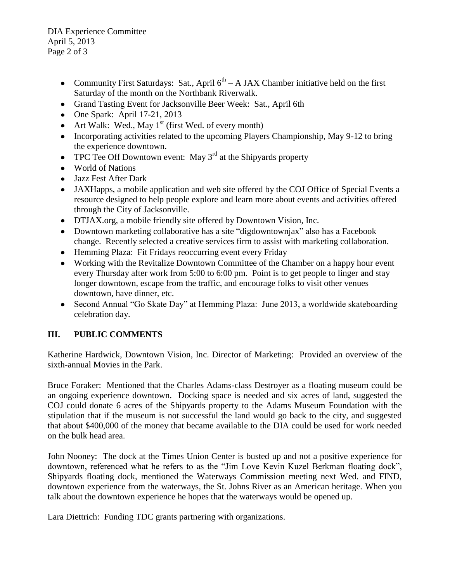DIA Experience Committee April 5, 2013 Page 2 of 3

- Community First Saturdays: Sat., April  $6<sup>th</sup> A JAX$  Chamber initiative held on the first Saturday of the month on the Northbank Riverwalk.
- Grand Tasting Event for Jacksonville Beer Week: Sat., April 6th
- $\bullet$  One Spark: April 17-21, 2013
- Art Walk: Wed., May  $1<sup>st</sup>$  (first Wed. of every month)
- Incorporating activities related to the upcoming Players Championship, May 9-12 to bring the experience downtown.
- TPC Tee Off Downtown event: May  $3<sup>rd</sup>$  at the Shipyards property
- World of Nations
- Jazz Fest After Dark
- JAXHapps, a mobile application and web site offered by the COJ Office of Special Events a resource designed to help people explore and learn more about events and activities offered through the City of Jacksonville.
- DTJAX.org, a mobile friendly site offered by Downtown Vision, Inc.
- Downtown marketing collaborative has a site "digdowntownjax" also has a Facebook change. Recently selected a creative services firm to assist with marketing collaboration.
- Hemming Plaza: Fit Fridays reoccurring event every Friday
- Working with the Revitalize Downtown Committee of the Chamber on a happy hour event every Thursday after work from 5:00 to 6:00 pm. Point is to get people to linger and stay longer downtown, escape from the traffic, and encourage folks to visit other venues downtown, have dinner, etc.
- Second Annual "Go Skate Day" at Hemming Plaza: June 2013, a worldwide skateboarding celebration day.

# **III. PUBLIC COMMENTS**

Katherine Hardwick, Downtown Vision, Inc. Director of Marketing: Provided an overview of the sixth-annual Movies in the Park.

Bruce Foraker: Mentioned that the Charles Adams-class Destroyer as a floating museum could be an ongoing experience downtown. Docking space is needed and six acres of land, suggested the COJ could donate 6 acres of the Shipyards property to the Adams Museum Foundation with the stipulation that if the museum is not successful the land would go back to the city, and suggested that about \$400,000 of the money that became available to the DIA could be used for work needed on the bulk head area.

John Nooney: The dock at the Times Union Center is busted up and not a positive experience for downtown, referenced what he refers to as the "Jim Love Kevin Kuzel Berkman floating dock", Shipyards floating dock, mentioned the Waterways Commission meeting next Wed. and FIND, downtown experience from the waterways, the St. Johns River as an American heritage. When you talk about the downtown experience he hopes that the waterways would be opened up.

Lara Diettrich: Funding TDC grants partnering with organizations.